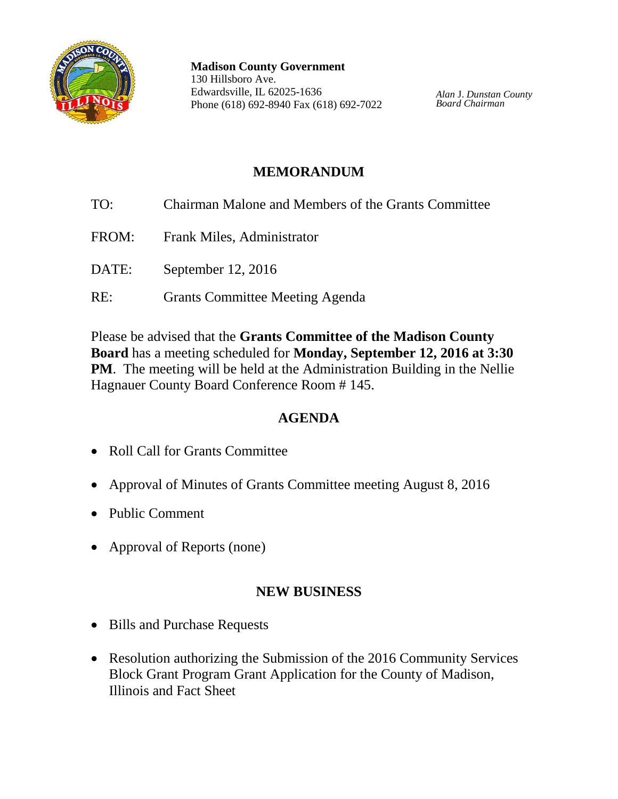

**Madison County Government** 130 Hillsboro Ave. Edwardsville, IL 62025-1636 Phone (618) 692-8940 Fax (618) 692-7022

*Alan* J. *Dunstan County Board Chairman*

## **MEMORANDUM**

- TO: Chairman Malone and Members of the Grants Committee FROM: Frank Miles, Administrator DATE: September 12, 2016
- RE: Grants Committee Meeting Agenda

Please be advised that the **Grants Committee of the Madison County Board** has a meeting scheduled for **Monday, September 12, 2016 at 3:30 PM.** The meeting will be held at the Administration Building in the Nellie Hagnauer County Board Conference Room # 145.

# **AGENDA**

- Roll Call for Grants Committee
- Approval of Minutes of Grants Committee meeting August 8, 2016
- Public Comment
- Approval of Reports (none)

### **NEW BUSINESS**

- Bills and Purchase Requests
- Resolution authorizing the Submission of the 2016 Community Services Block Grant Program Grant Application for the County of Madison, Illinois and Fact Sheet